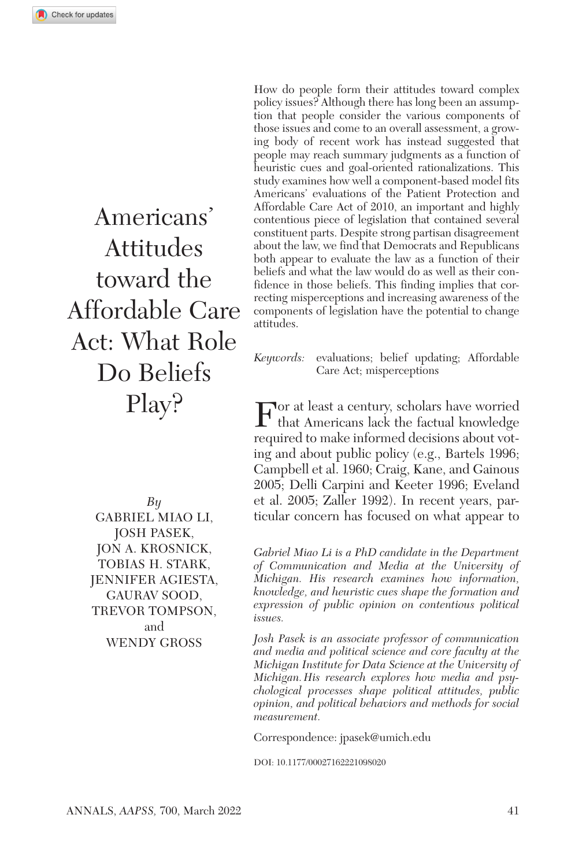Americans' Attitudes toward the Affordable Care Act: What Role Do Beliefs Play?

> *By* Gabriel Miao Li, Josh Pasek, Jon A. Krosnick, Tobias H. Stark, Jennifer Agiesta, Gaurav Sood, TREVOR TOMPSON. and Wendy Gross

How do people form their attitudes toward complex policy issues? Although there has long been an assumption that people consider the various components of those issues and come to an overall assessment, a growing body of recent work has instead suggested that people may reach summary judgments as a function of heuristic cues and goal-oriented rationalizations. This study examines how well a component-based model fits Americans' evaluations of the Patient Protection and Affordable Care Act of 2010, an important and highly contentious piece of legislation that contained several constituent parts. Despite strong partisan disagreement about the law, we find that Democrats and Republicans both appear to evaluate the law as a function of their beliefs and what the law would do as well as their confidence in those beliefs. This finding implies that correcting misperceptions and increasing awareness of the components of legislation have the potential to change attitudes.

*Keywords:* evaluations; belief updating; Affordable Care Act; misperceptions

 $\Gamma$  or at least a century, scholars have worried that Americans lack the factual knowledge required to make informed decisions about voting and about public policy (e.g., Bartels 1996; Campbell et al. 1960; Craig, Kane, and Gainous 2005; Delli Carpini and Keeter 1996; Eveland et al. 2005; Zaller 1992). In recent years, particular concern has focused on what appear to

*Gabriel Miao Li is a PhD candidate in the Department of Communication and Media at the University of Michigan. His research examines how information, knowledge, and heuristic cues shape the formation and expression of public opinion on contentious political issues.*

*Josh Pasek is an associate professor of communication and media and political science and core faculty at the Michigan Institute for Data Science at the University of Michigan.His research explores how media and psychological processes shape political attitudes, public opinion, and political behaviors and methods for social measurement.*

Correspondence: [jpasek@umich.edu](mailto:jpasek@umich.edu)

DOI: 10.1177/00027162221098020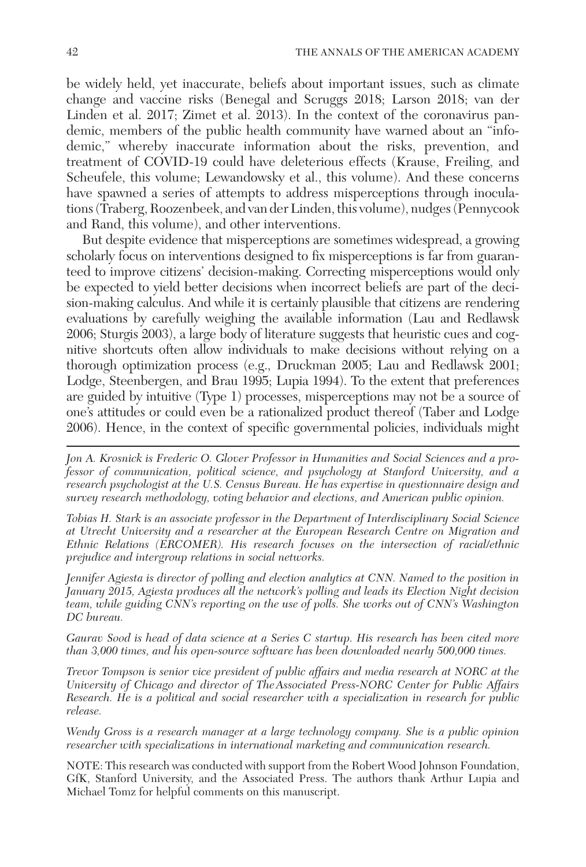be widely held, yet inaccurate, beliefs about important issues, such as climate change and vaccine risks (Benegal and Scruggs 2018; Larson 2018; van der Linden et al. 2017; Zimet et al. 2013). In the context of the coronavirus pandemic, members of the public health community have warned about an "infodemic," whereby inaccurate information about the risks, prevention, and treatment of COVID-19 could have deleterious effects (Krause, Freiling, and Scheufele, this volume; Lewandowsky et al., this volume). And these concerns have spawned a series of attempts to address misperceptions through inoculations (Traberg, Roozenbeek, and van der Linden, this volume), nudges (Pennycook and Rand, this volume), and other interventions.

But despite evidence that misperceptions are sometimes widespread, a growing scholarly focus on interventions designed to fix misperceptions is far from guaranteed to improve citizens' decision-making. Correcting misperceptions would only be expected to yield better decisions when incorrect beliefs are part of the decision-making calculus. And while it is certainly plausible that citizens are rendering evaluations by carefully weighing the available information (Lau and Redlawsk 2006; Sturgis 2003), a large body of literature suggests that heuristic cues and cognitive shortcuts often allow individuals to make decisions without relying on a thorough optimization process (e.g., Druckman 2005; Lau and Redlawsk 2001; Lodge, Steenbergen, and Brau 1995; Lupia 1994). To the extent that preferences are guided by intuitive (Type 1) processes, misperceptions may not be a source of one's attitudes or could even be a rationalized product thereof (Taber and Lodge 2006). Hence, in the context of specific governmental policies, individuals might

*Tobias H. Stark is an associate professor in the Department of Interdisciplinary Social Science at Utrecht University and a researcher at the European Research Centre on Migration and Ethnic Relations (ERCOMER). His research focuses on the intersection of racial/ethnic prejudice and intergroup relations in social networks.*

*Jennifer Agiesta is director of polling and election analytics at CNN. Named to the position in January 2015, Agiesta produces all the network's polling and leads its Election Night decision team, while guiding CNN's reporting on the use of polls. She works out of CNN's Washington DC bureau.*

*Gaurav Sood is head of data science at a Series C startup. His research has been cited more than 3,000 times, and his open-source software has been downloaded nearly 500,000 times.*

*Trevor Tompson is senior vice president of public affairs and media research at NORC at the University of Chicago and director of TheAssociated Press-NORC Center for Public Affairs Research. He is a political and social researcher with a specialization in research for public release.*

*Wendy Gross is a research manager at a large technology company. She is a public opinion researcher with specializations in international marketing and communication research.*

NOTE: This research was conducted with support from the Robert Wood Johnson Foundation, GfK, Stanford University, and the Associated Press. The authors thank Arthur Lupia and Michael Tomz for helpful comments on this manuscript.

*Jon A. Krosnick is Frederic O. Glover Professor in Humanities and Social Sciences and a professor of communication, political science, and psychology at Stanford University, and a research psychologist at the U.S. Census Bureau. He has expertise in questionnaire design and survey research methodology, voting behavior and elections, and American public opinion.*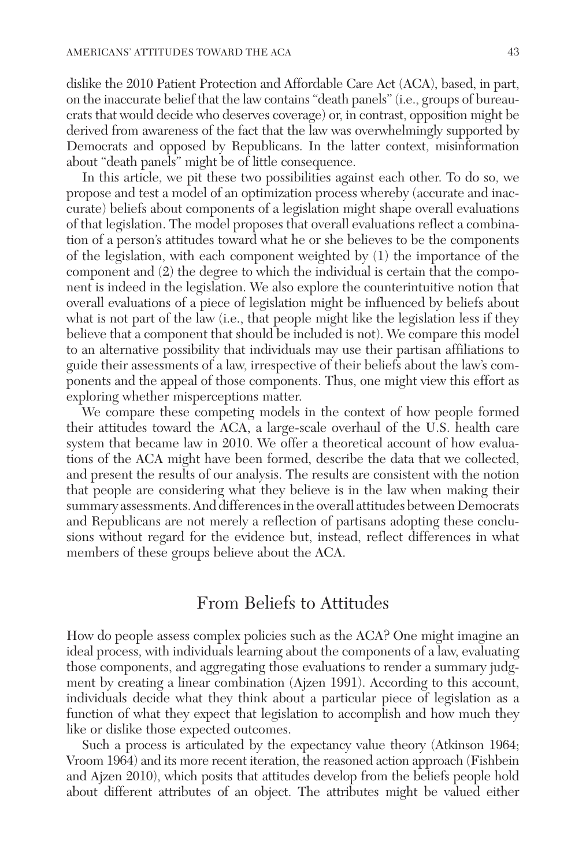dislike the 2010 Patient Protection and Affordable Care Act (ACA), based, in part, on the inaccurate belief that the law contains "death panels" (i.e., groups of bureaucrats that would decide who deserves coverage) or, in contrast, opposition might be derived from awareness of the fact that the law was overwhelmingly supported by Democrats and opposed by Republicans. In the latter context, misinformation about "death panels" might be of little consequence.

In this article, we pit these two possibilities against each other. To do so, we propose and test a model of an optimization process whereby (accurate and inaccurate) beliefs about components of a legislation might shape overall evaluations of that legislation. The model proposes that overall evaluations reflect a combination of a person's attitudes toward what he or she believes to be the components of the legislation, with each component weighted by (1) the importance of the component and (2) the degree to which the individual is certain that the component is indeed in the legislation. We also explore the counterintuitive notion that overall evaluations of a piece of legislation might be influenced by beliefs about what is not part of the law (i.e., that people might like the legislation less if they believe that a component that should be included is not). We compare this model to an alternative possibility that individuals may use their partisan affiliations to guide their assessments of a law, irrespective of their beliefs about the law's components and the appeal of those components. Thus, one might view this effort as exploring whether misperceptions matter.

We compare these competing models in the context of how people formed their attitudes toward the ACA, a large-scale overhaul of the U.S. health care system that became law in 2010. We offer a theoretical account of how evaluations of the ACA might have been formed, describe the data that we collected, and present the results of our analysis. The results are consistent with the notion that people are considering what they believe is in the law when making their summary assessments. And differences in the overall attitudes between Democrats and Republicans are not merely a reflection of partisans adopting these conclusions without regard for the evidence but, instead, reflect differences in what members of these groups believe about the ACA.

## From Beliefs to Attitudes

How do people assess complex policies such as the ACA? One might imagine an ideal process, with individuals learning about the components of a law, evaluating those components, and aggregating those evaluations to render a summary judgment by creating a linear combination (Ajzen 1991). According to this account, individuals decide what they think about a particular piece of legislation as a function of what they expect that legislation to accomplish and how much they like or dislike those expected outcomes.

Such a process is articulated by the expectancy value theory (Atkinson 1964; Vroom 1964) and its more recent iteration, the reasoned action approach (Fishbein and Ajzen 2010), which posits that attitudes develop from the beliefs people hold about different attributes of an object. The attributes might be valued either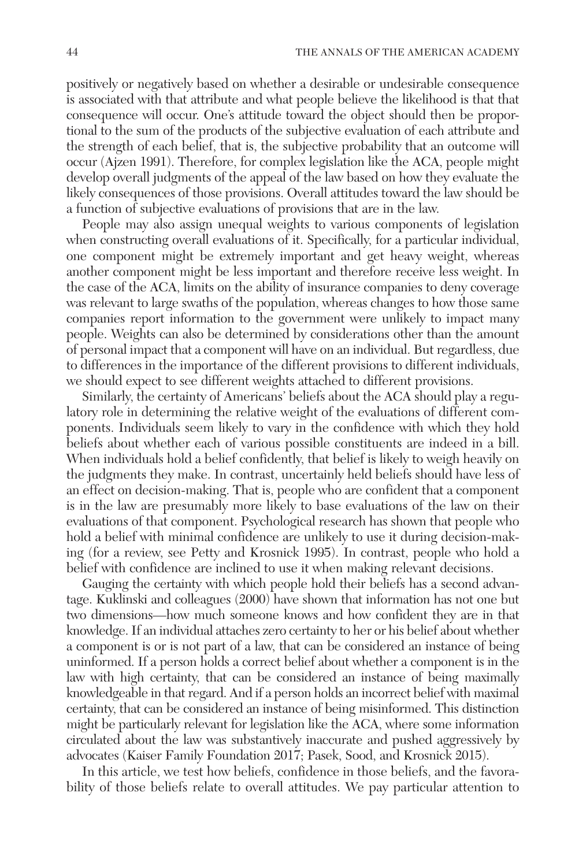positively or negatively based on whether a desirable or undesirable consequence is associated with that attribute and what people believe the likelihood is that that consequence will occur. One's attitude toward the object should then be proportional to the sum of the products of the subjective evaluation of each attribute and the strength of each belief, that is, the subjective probability that an outcome will occur (Ajzen 1991). Therefore, for complex legislation like the ACA, people might develop overall judgments of the appeal of the law based on how they evaluate the likely consequences of those provisions. Overall attitudes toward the law should be a function of subjective evaluations of provisions that are in the law.

People may also assign unequal weights to various components of legislation when constructing overall evaluations of it. Specifically, for a particular individual, one component might be extremely important and get heavy weight, whereas another component might be less important and therefore receive less weight. In the case of the ACA, limits on the ability of insurance companies to deny coverage was relevant to large swaths of the population, whereas changes to how those same companies report information to the government were unlikely to impact many people. Weights can also be determined by considerations other than the amount of personal impact that a component will have on an individual. But regardless, due to differences in the importance of the different provisions to different individuals, we should expect to see different weights attached to different provisions.

Similarly, the certainty of Americans' beliefs about the ACA should play a regulatory role in determining the relative weight of the evaluations of different components. Individuals seem likely to vary in the confidence with which they hold beliefs about whether each of various possible constituents are indeed in a bill. When individuals hold a belief confidently, that belief is likely to weigh heavily on the judgments they make. In contrast, uncertainly held beliefs should have less of an effect on decision-making. That is, people who are confident that a component is in the law are presumably more likely to base evaluations of the law on their evaluations of that component. Psychological research has shown that people who hold a belief with minimal confidence are unlikely to use it during decision-making (for a review, see Petty and Krosnick 1995). In contrast, people who hold a belief with confidence are inclined to use it when making relevant decisions.

Gauging the certainty with which people hold their beliefs has a second advantage. Kuklinski and colleagues (2000) have shown that information has not one but two dimensions—how much someone knows and how confident they are in that knowledge. If an individual attaches zero certainty to her or his belief about whether a component is or is not part of a law, that can be considered an instance of being uninformed. If a person holds a correct belief about whether a component is in the law with high certainty, that can be considered an instance of being maximally knowledgeable in that regard. And if a person holds an incorrect belief with maximal certainty, that can be considered an instance of being misinformed. This distinction might be particularly relevant for legislation like the ACA, where some information circulated about the law was substantively inaccurate and pushed aggressively by advocates (Kaiser Family Foundation 2017; Pasek, Sood, and Krosnick 2015).

In this article, we test how beliefs, confidence in those beliefs, and the favorability of those beliefs relate to overall attitudes. We pay particular attention to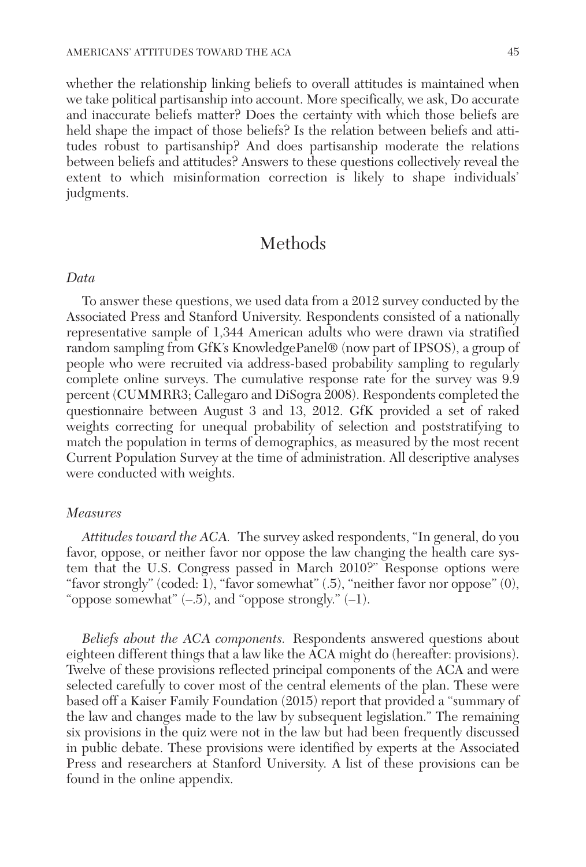whether the relationship linking beliefs to overall attitudes is maintained when we take political partisanship into account. More specifically, we ask, Do accurate and inaccurate beliefs matter? Does the certainty with which those beliefs are held shape the impact of those beliefs? Is the relation between beliefs and attitudes robust to partisanship? And does partisanship moderate the relations between beliefs and attitudes? Answers to these questions collectively reveal the extent to which misinformation correction is likely to shape individuals' judgments.

# Methods

#### *Data*

To answer these questions, we used data from a 2012 survey conducted by the Associated Press and Stanford University. Respondents consisted of a nationally representative sample of 1,344 American adults who were drawn via stratified random sampling from GfK's KnowledgePanel® (now part of IPSOS), a group of people who were recruited via address-based probability sampling to regularly complete online surveys. The cumulative response rate for the survey was 9.9 percent (CUMMRR3; Callegaro and DiSogra 2008). Respondents completed the questionnaire between August 3 and 13, 2012. GfK provided a set of raked weights correcting for unequal probability of selection and poststratifying to match the population in terms of demographics, as measured by the most recent Current Population Survey at the time of administration. All descriptive analyses were conducted with weights.

### *Measures*

*Attitudes toward the ACA.* The survey asked respondents, "In general, do you favor, oppose, or neither favor nor oppose the law changing the health care system that the U.S. Congress passed in March 2010?" Response options were "favor strongly" (coded: 1), "favor somewhat" (.5), "neither favor nor oppose" (0), "oppose somewhat"  $(-.5)$ , and "oppose strongly."  $(-1)$ .

*Beliefs about the ACA components.* Respondents answered questions about eighteen different things that a law like the ACA might do (hereafter: provisions). Twelve of these provisions reflected principal components of the ACA and were selected carefully to cover most of the central elements of the plan. These were based off a Kaiser Family Foundation (2015) report that provided a "summary of the law and changes made to the law by subsequent legislation." The remaining six provisions in the quiz were not in the law but had been frequently discussed in public debate. These provisions were identified by experts at the Associated Press and researchers at Stanford University. A list of these provisions can be found in the online appendix.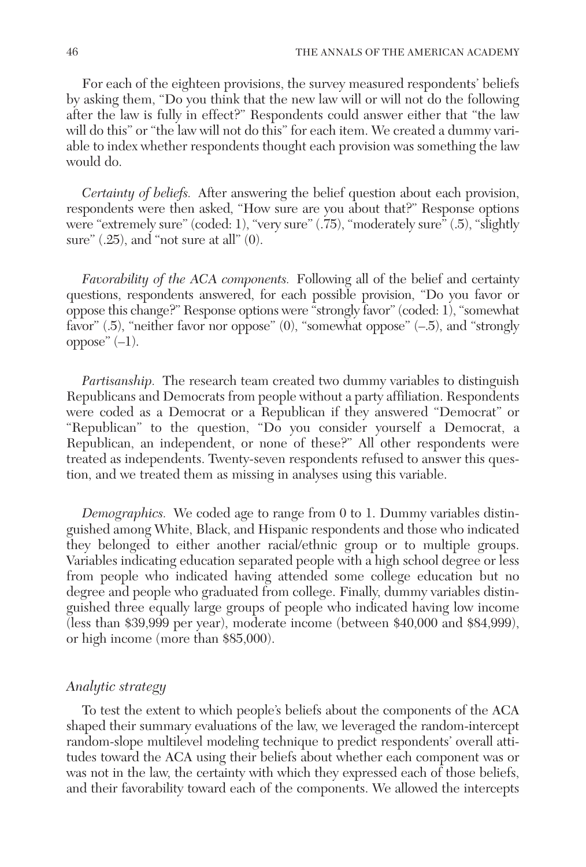For each of the eighteen provisions, the survey measured respondents' beliefs by asking them, "Do you think that the new law will or will not do the following after the law is fully in effect?" Respondents could answer either that "the law will do this" or "the law will not do this" for each item. We created a dummy variable to index whether respondents thought each provision was something the law would do.

*Certainty of beliefs.* After answering the belief question about each provision, respondents were then asked, "How sure are you about that?" Response options were "extremely sure" (coded: 1), "very sure" (.75), "moderately sure" (.5), "slightly sure"  $(.25)$ , and "not sure at all"  $(0)$ .

*Favorability of the ACA components.* Following all of the belief and certainty questions, respondents answered, for each possible provision, "Do you favor or oppose this change?" Response options were "strongly favor" (coded: 1), "somewhat favor" (.5), "neither favor nor oppose" (0), "somewhat oppose" (–.5), and "strongly oppose"  $(-1)$ .

*Partisanship.* The research team created two dummy variables to distinguish Republicans and Democrats from people without a party affiliation. Respondents were coded as a Democrat or a Republican if they answered "Democrat" or "Republican" to the question, "Do you consider yourself a Democrat, a Republican, an independent, or none of these?" All other respondents were treated as independents. Twenty-seven respondents refused to answer this question, and we treated them as missing in analyses using this variable.

*Demographics.* We coded age to range from 0 to 1. Dummy variables distinguished among White, Black, and Hispanic respondents and those who indicated they belonged to either another racial/ethnic group or to multiple groups. Variables indicating education separated people with a high school degree or less from people who indicated having attended some college education but no degree and people who graduated from college. Finally, dummy variables distinguished three equally large groups of people who indicated having low income (less than \$39,999 per year), moderate income (between \$40,000 and \$84,999), or high income (more than \$85,000).

#### *Analytic strategy*

To test the extent to which people's beliefs about the components of the ACA shaped their summary evaluations of the law, we leveraged the random-intercept random-slope multilevel modeling technique to predict respondents' overall attitudes toward the ACA using their beliefs about whether each component was or was not in the law, the certainty with which they expressed each of those beliefs, and their favorability toward each of the components. We allowed the intercepts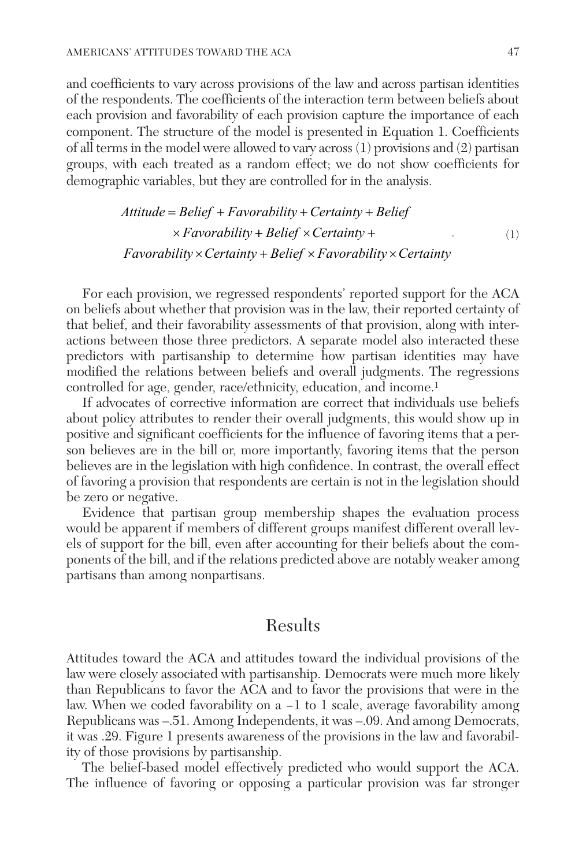and coefficients to vary across provisions of the law and across partisan identities of the respondents. The coefficients of the interaction term between beliefs about each provision and favorability of each provision capture the importance of each component. The structure of the model is presented in Equation 1. Coefficients of all terms in the model were allowed to vary across (1) provisions and (2) partisan groups, with each treated as a random effect; we do not show coefficients for demographic variables, but they are controlled for in the analysis.

> Attitude = Belief + Favorability + Certainty + Belief  $\times$  *Favorability* + *Belief*  $\times$  *Certainty* + *Favorability* × *Certainty* + *Belief* × *Favorability* × *Certainty* . (1)

For each provision, we regressed respondents' reported support for the ACA on beliefs about whether that provision was in the law, their reported certainty of that belief, and their favorability assessments of that provision, along with interactions between those three predictors. A separate model also interacted these predictors with partisanship to determine how partisan identities may have modified the relations between beliefs and overall judgments. The regressions controlled for age, gender, race/ethnicity, education, and income.<sup>1</sup>

If advocates of corrective information are correct that individuals use beliefs about policy attributes to render their overall judgments, this would show up in positive and significant coefficients for the influence of favoring items that a person believes are in the bill or, more importantly, favoring items that the person believes are in the legislation with high confidence. In contrast, the overall effect of favoring a provision that respondents are certain is not in the legislation should be zero or negative.

Evidence that partisan group membership shapes the evaluation process would be apparent if members of different groups manifest different overall levels of support for the bill, even after accounting for their beliefs about the components of the bill, and if the relations predicted above are notably weaker among partisans than among nonpartisans.

## Results

Attitudes toward the ACA and attitudes toward the individual provisions of the law were closely associated with partisanship. Democrats were much more likely than Republicans to favor the ACA and to favor the provisions that were in the law. When we coded favorability on a −1 to 1 scale, average favorability among Republicans was –.51. Among Independents, it was –.09. And among Democrats, it was .29. Figure 1 presents awareness of the provisions in the law and favorability of those provisions by partisanship.

The belief-based model effectively predicted who would support the ACA. The influence of favoring or opposing a particular provision was far stronger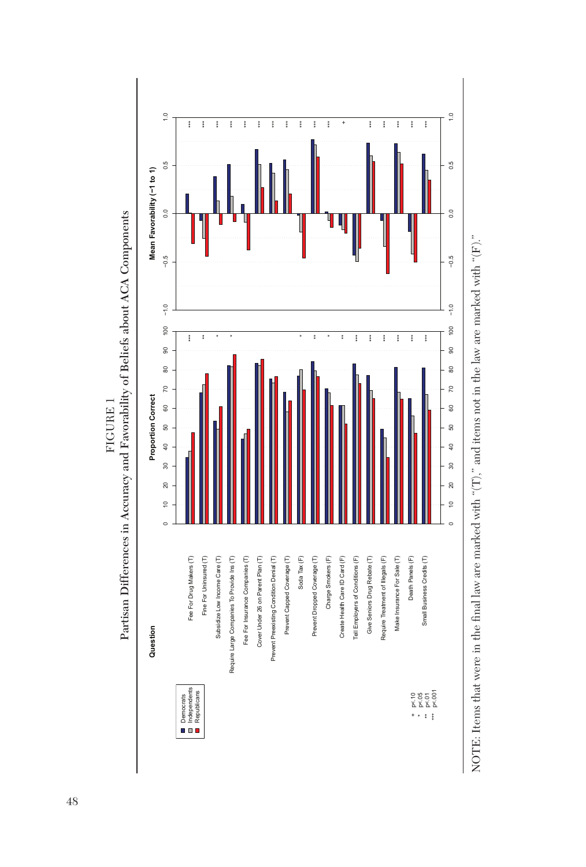

Partisan Differences in Accuracy and Favorability of Beliefs about ACA Components Partisan Differences in Accuracy and Favorability of Beliefs about ACA Components FIGURE 1 Figure 1

NOTE: Items that were in the final law are marked with " $(T)$ ," and items not in the law are marked with " $(F)$ ." NOTE: Items that were in the final law are marked with "(T)," and items not in the law are marked with "(F)."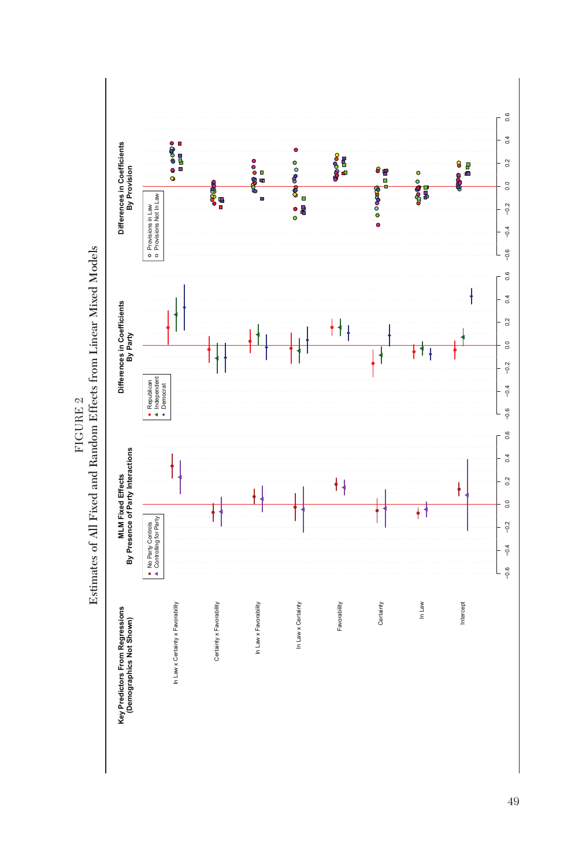Estimates of All Fixed and Random Effects from Linear Mixed Models Estimates of All Fixed and Random Effects from Linear Mixed Models  $\tt FICURE$  2 Figure 2

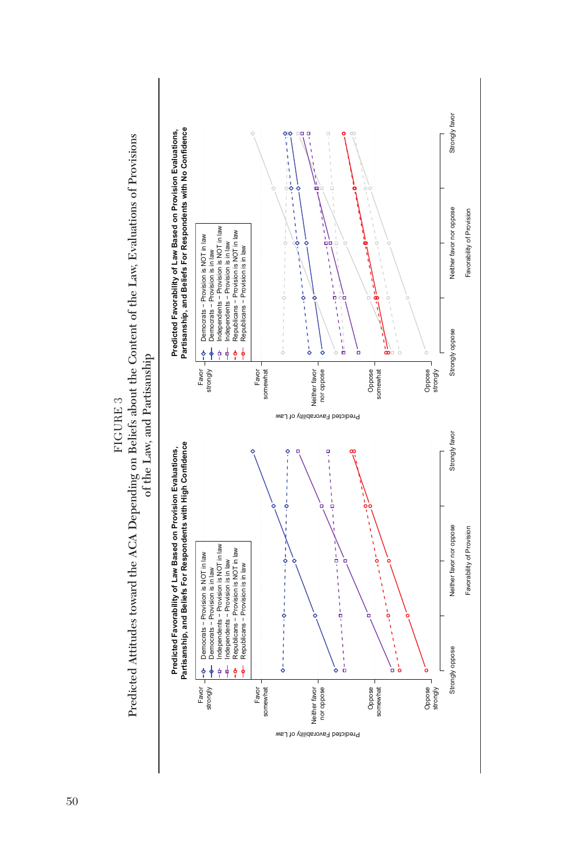

FIGURE 3 Figure 3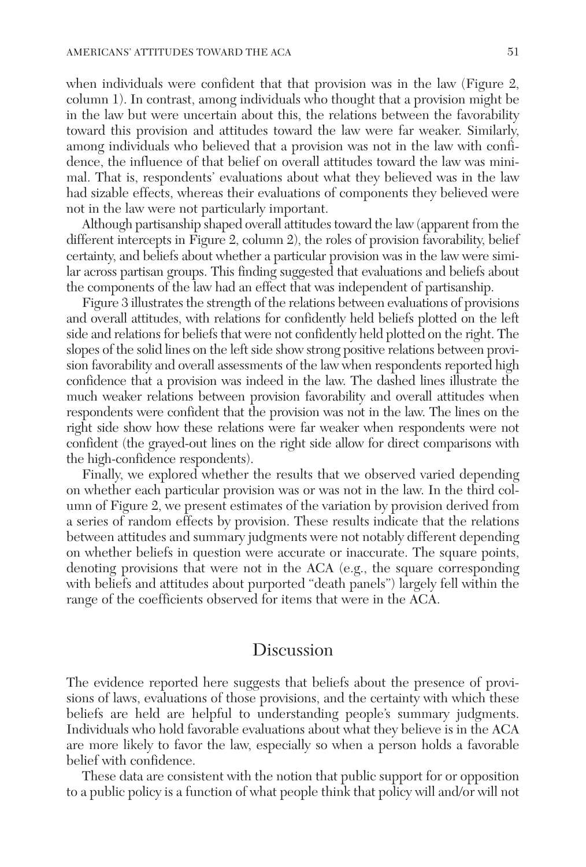when individuals were confident that that provision was in the law (Figure 2, column 1). In contrast, among individuals who thought that a provision might be in the law but were uncertain about this, the relations between the favorability toward this provision and attitudes toward the law were far weaker. Similarly, among individuals who believed that a provision was not in the law with confidence, the influence of that belief on overall attitudes toward the law was minimal. That is, respondents' evaluations about what they believed was in the law had sizable effects, whereas their evaluations of components they believed were not in the law were not particularly important.

Although partisanship shaped overall attitudes toward the law (apparent from the different intercepts in Figure 2, column 2), the roles of provision favorability, belief certainty, and beliefs about whether a particular provision was in the law were similar across partisan groups. This finding suggested that evaluations and beliefs about the components of the law had an effect that was independent of partisanship.

Figure 3 illustrates the strength of the relations between evaluations of provisions and overall attitudes, with relations for confidently held beliefs plotted on the left side and relations for beliefs that were not confidently held plotted on the right. The slopes of the solid lines on the left side show strong positive relations between provision favorability and overall assessments of the law when respondents reported high confidence that a provision was indeed in the law. The dashed lines illustrate the much weaker relations between provision favorability and overall attitudes when respondents were confident that the provision was not in the law. The lines on the right side show how these relations were far weaker when respondents were not confident (the grayed-out lines on the right side allow for direct comparisons with the high-confidence respondents).

Finally, we explored whether the results that we observed varied depending on whether each particular provision was or was not in the law. In the third column of Figure 2, we present estimates of the variation by provision derived from a series of random effects by provision. These results indicate that the relations between attitudes and summary judgments were not notably different depending on whether beliefs in question were accurate or inaccurate. The square points, denoting provisions that were not in the ACA (e.g., the square corresponding with beliefs and attitudes about purported "death panels") largely fell within the range of the coefficients observed for items that were in the ACA.

### Discussion

The evidence reported here suggests that beliefs about the presence of provisions of laws, evaluations of those provisions, and the certainty with which these beliefs are held are helpful to understanding people's summary judgments. Individuals who hold favorable evaluations about what they believe is in the ACA are more likely to favor the law, especially so when a person holds a favorable belief with confidence.

These data are consistent with the notion that public support for or opposition to a public policy is a function of what people think that policy will and/or will not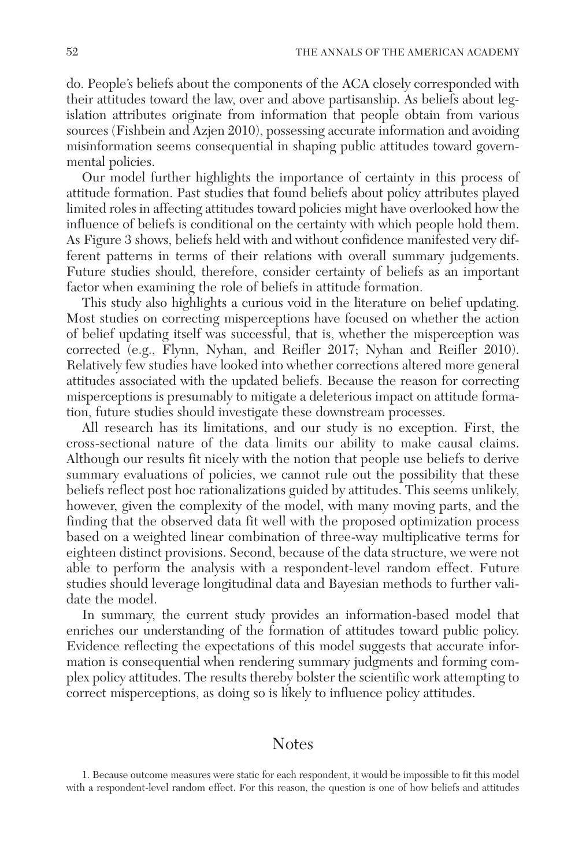do. People's beliefs about the components of the ACA closely corresponded with their attitudes toward the law, over and above partisanship. As beliefs about legislation attributes originate from information that people obtain from various sources (Fishbein and Azjen 2010), possessing accurate information and avoiding misinformation seems consequential in shaping public attitudes toward governmental policies.

Our model further highlights the importance of certainty in this process of attitude formation. Past studies that found beliefs about policy attributes played limited roles in affecting attitudes toward policies might have overlooked how the influence of beliefs is conditional on the certainty with which people hold them. As Figure 3 shows, beliefs held with and without confidence manifested very different patterns in terms of their relations with overall summary judgements. Future studies should, therefore, consider certainty of beliefs as an important factor when examining the role of beliefs in attitude formation.

This study also highlights a curious void in the literature on belief updating. Most studies on correcting misperceptions have focused on whether the action of belief updating itself was successful, that is, whether the misperception was corrected (e.g., Flynn, Nyhan, and Reifler 2017; Nyhan and Reifler 2010). Relatively few studies have looked into whether corrections altered more general attitudes associated with the updated beliefs. Because the reason for correcting misperceptions is presumably to mitigate a deleterious impact on attitude formation, future studies should investigate these downstream processes.

All research has its limitations, and our study is no exception. First, the cross-sectional nature of the data limits our ability to make causal claims. Although our results fit nicely with the notion that people use beliefs to derive summary evaluations of policies, we cannot rule out the possibility that these beliefs reflect post hoc rationalizations guided by attitudes. This seems unlikely, however, given the complexity of the model, with many moving parts, and the finding that the observed data fit well with the proposed optimization process based on a weighted linear combination of three-way multiplicative terms for eighteen distinct provisions. Second, because of the data structure, we were not able to perform the analysis with a respondent-level random effect. Future studies should leverage longitudinal data and Bayesian methods to further validate the model.

In summary, the current study provides an information-based model that enriches our understanding of the formation of attitudes toward public policy. Evidence reflecting the expectations of this model suggests that accurate information is consequential when rendering summary judgments and forming complex policy attitudes. The results thereby bolster the scientific work attempting to correct misperceptions, as doing so is likely to influence policy attitudes.

### Notes

1. Because outcome measures were static for each respondent, it would be impossible to fit this model with a respondent-level random effect. For this reason, the question is one of how beliefs and attitudes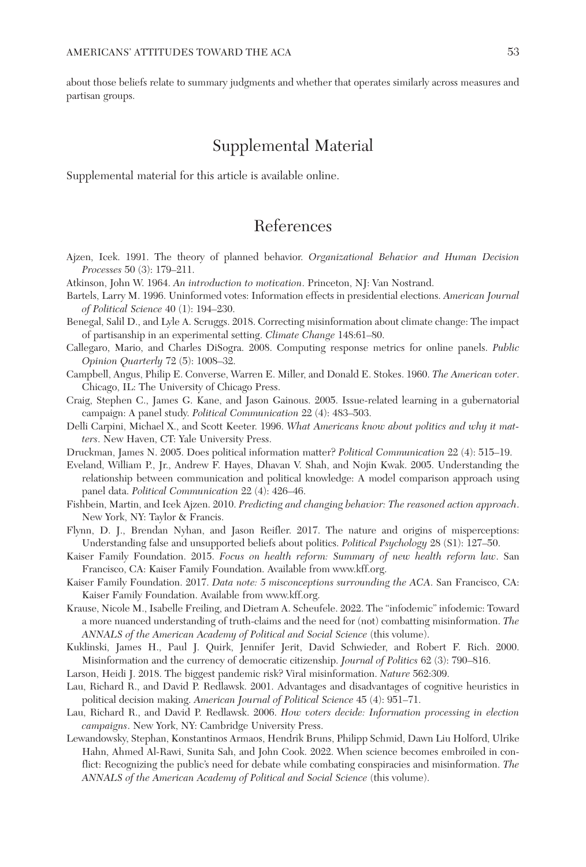about those beliefs relate to summary judgments and whether that operates similarly across measures and partisan groups.

## Supplemental Material

Supplemental material for this article is available online.

# References

- Ajzen, Icek. 1991. The theory of planned behavior. *Organizational Behavior and Human Decision Processes* 50 (3): 179–211.
- Atkinson, John W. 1964. *An introduction to motivation*. Princeton, NJ: Van Nostrand.
- Bartels, Larry M. 1996. Uninformed votes: Information effects in presidential elections. *American Journal of Political Science* 40 (1): 194–230.
- Benegal, Salil D., and Lyle A. Scruggs. 2018. Correcting misinformation about climate change: The impact of partisanship in an experimental setting. *Climate Change* 148:61–80.
- Callegaro, Mario, and Charles DiSogra. 2008. Computing response metrics for online panels. *Public Opinion Quarterly* 72 (5): 1008–32.
- Campbell, Angus, Philip E. Converse, Warren E. Miller, and Donald E. Stokes. 1960. *The American voter*. Chicago, IL: The University of Chicago Press.
- Craig, Stephen C., James G. Kane, and Jason Gainous. 2005. Issue-related learning in a gubernatorial campaign: A panel study. *Political Communication* 22 (4): 483–503.
- Delli Carpini, Michael X., and Scott Keeter. 1996. *What Americans know about politics and why it matters*. New Haven, CT: Yale University Press.
- Druckman, James N. 2005. Does political information matter? *Political Communication* 22 (4): 515–19.
- Eveland, William P., Jr., Andrew F. Hayes, Dhavan V. Shah, and Nojin Kwak. 2005. Understanding the relationship between communication and political knowledge: A model comparison approach using panel data. *Political Communication* 22 (4): 426–46.
- Fishbein, Martin, and Icek Ajzen. 2010. *Predicting and changing behavior: The reasoned action approach*. New York, NY: Taylor & Francis.
- Flynn, D. J., Brendan Nyhan, and Jason Reifler. 2017. The nature and origins of misperceptions: Understanding false and unsupported beliefs about politics. *Political Psychology* 28 (S1): 127–50.
- Kaiser Family Foundation. 2015. *Focus on health reform: Summary of new health reform law*. San Francisco, CA: Kaiser Family Foundation. Available from <www.kff.org>.
- Kaiser Family Foundation. 2017. *Data note: 5 misconceptions surrounding the ACA*. San Francisco, CA: Kaiser Family Foundation. Available from [www.kff.org.](www.kff.org)
- Krause, Nicole M., Isabelle Freiling, and Dietram A. Scheufele. 2022. The "infodemic" infodemic: Toward a more nuanced understanding of truth-claims and the need for (not) combatting misinformation. *The ANNALS of the American Academy of Political and Social Science* (this volume).
- Kuklinski, James H., Paul J. Quirk, Jennifer Jerit, David Schwieder, and Robert F. Rich. 2000. Misinformation and the currency of democratic citizenship. *Journal of Politics* 62 (3): 790–816.
- Larson, Heidi J. 2018. The biggest pandemic risk? Viral misinformation. *Nature* 562:309.
- Lau, Richard R., and David P. Redlawsk. 2001. Advantages and disadvantages of cognitive heuristics in political decision making. *American Journal of Political Science* 45 (4): 951–71.
- Lau, Richard R., and David P. Redlawsk. 2006. *How voters decide: Information processing in election campaigns*. New York, NY: Cambridge University Press.
- Lewandowsky, Stephan, Konstantinos Armaos, Hendrik Bruns, Philipp Schmid, Dawn Liu Holford, Ulrike Hahn, Ahmed Al-Rawi, Sunita Sah, and John Cook. 2022. When science becomes embroiled in conflict: Recognizing the public's need for debate while combating conspiracies and misinformation. *The ANNALS of the American Academy of Political and Social Science* (this volume).